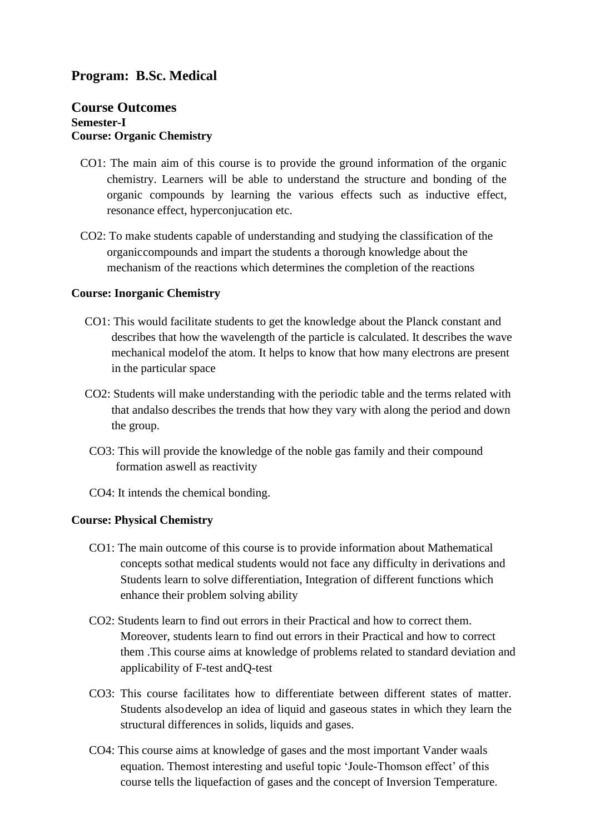# **Program: B.Sc. Medical**

# **Course Outcomes Semester-I Course: Organic Chemistry**

- CO1: The main aim of this course is to provide the ground information of the organic chemistry. Learners will be able to understand the structure and bonding of the organic compounds by learning the various effects such as inductive effect, resonance effect, hyperconjucation etc.
- CO2: To make students capable of understanding and studying the classification of the organiccompounds and impart the students a thorough knowledge about the mechanism of the reactions which determines the completion of the reactions

#### **Course: Inorganic Chemistry**

- CO1: This would facilitate students to get the knowledge about the Planck constant and describes that how the wavelength of the particle is calculated. It describes the wave mechanical modelof the atom. It helps to know that how many electrons are present in the particular space
- CO2: Students will make understanding with the periodic table and the terms related with that andalso describes the trends that how they vary with along the period and down the group.
- CO3: This will provide the knowledge of the noble gas family and their compound formation aswell as reactivity
- CO4: It intends the chemical bonding.

#### **Course: Physical Chemistry**

- CO1: The main outcome of this course is to provide information about Mathematical concepts sothat medical students would not face any difficulty in derivations and Students learn to solve differentiation, Integration of different functions which enhance their problem solving ability
- CO2: Students learn to find out errors in their Practical and how to correct them. Moreover, students learn to find out errors in their Practical and how to correct them .This course aims at knowledge of problems related to standard deviation and applicability of F-test andQ-test
- CO3: This course facilitates how to differentiate between different states of matter. Students alsodevelop an idea of liquid and gaseous states in which they learn the structural differences in solids, liquids and gases.
- CO4: This course aims at knowledge of gases and the most important Vander waals equation. Themost interesting and useful topic 'Joule-Thomson effect' of this course tells the liquefaction of gases and the concept of Inversion Temperature.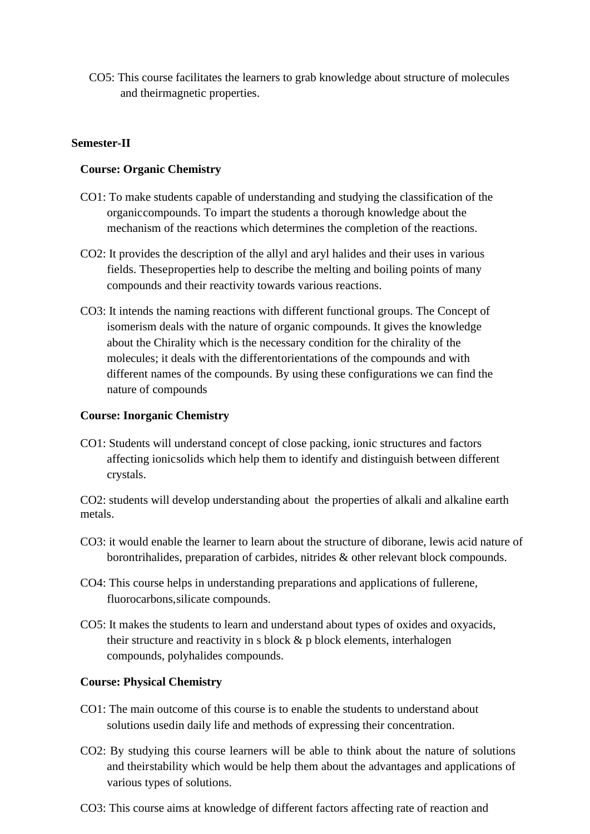CO5: This course facilitates the learners to grab knowledge about structure of molecules and theirmagnetic properties.

# **Semester-II**

# **Course: Organic Chemistry**

- CO1: To make students capable of understanding and studying the classification of the organiccompounds. To impart the students a thorough knowledge about the mechanism of the reactions which determines the completion of the reactions.
- CO2: It provides the description of the allyl and aryl halides and their uses in various fields. Theseproperties help to describe the melting and boiling points of many compounds and their reactivity towards various reactions.
- CO3: It intends the naming reactions with different functional groups. The Concept of isomerism deals with the nature of organic compounds. It gives the knowledge about the Chirality which is the necessary condition for the chirality of the molecules; it deals with the differentorientations of the compounds and with different names of the compounds. By using these configurations we can find the nature of compounds

# **Course: Inorganic Chemistry**

CO1: Students will understand concept of close packing, ionic structures and factors affecting ionicsolids which help them to identify and distinguish between different crystals.

CO2: students will develop understanding about the properties of alkali and alkaline earth metals.

- CO3: it would enable the learner to learn about the structure of diborane, lewis acid nature of borontrihalides, preparation of carbides, nitrides & other relevant block compounds.
- CO4: This course helps in understanding preparations and applications of fullerene, fluorocarbons,silicate compounds.
- CO5: It makes the students to learn and understand about types of oxides and oxyacids, their structure and reactivity in s block  $\&$  p block elements, interhalogen compounds, polyhalides compounds.

# **Course: Physical Chemistry**

- CO1: The main outcome of this course is to enable the students to understand about solutions usedin daily life and methods of expressing their concentration.
- CO2: By studying this course learners will be able to think about the nature of solutions and theirstability which would be help them about the advantages and applications of various types of solutions.
- CO3: This course aims at knowledge of different factors affecting rate of reaction and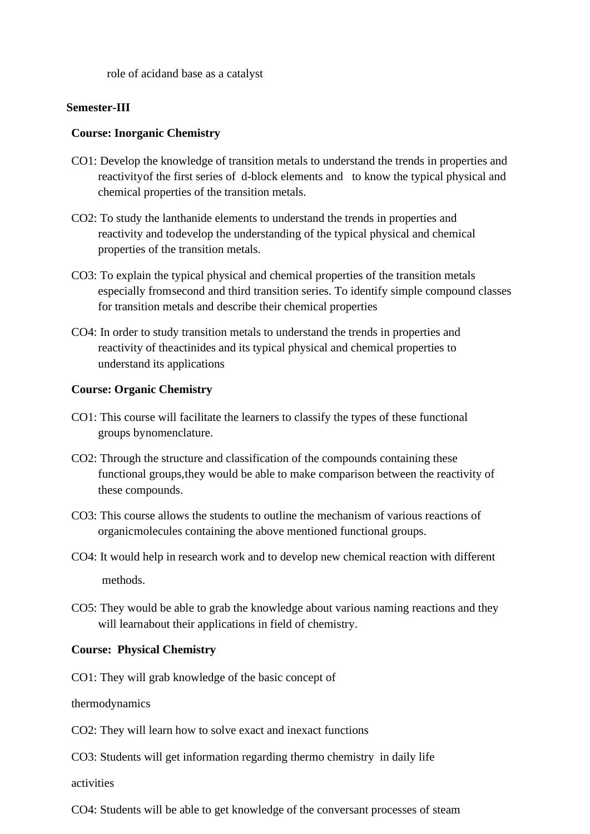role of acidand base as a catalyst

#### **Semester-III**

#### **Course: Inorganic Chemistry**

- CO1: Develop the knowledge of transition metals to understand the trends in properties and reactivityof the first series of d-block elements and to know the typical physical and chemical properties of the transition metals.
- CO2: To study the lanthanide elements to understand the trends in properties and reactivity and todevelop the understanding of the typical physical and chemical properties of the transition metals.
- CO3: To explain the typical physical and chemical properties of the transition metals especially fromsecond and third transition series. To identify simple compound classes for transition metals and describe their chemical properties
- CO4: In order to study transition metals to understand the trends in properties and reactivity of theactinides and its typical physical and chemical properties to understand its applications

#### **Course: Organic Chemistry**

- CO1: This course will facilitate the learners to classify the types of these functional groups bynomenclature.
- CO2: Through the structure and classification of the compounds containing these functional groups,they would be able to make comparison between the reactivity of these compounds.
- CO3: This course allows the students to outline the mechanism of various reactions of organicmolecules containing the above mentioned functional groups.
- CO4: It would help in research work and to develop new chemical reaction with different methods.
- CO5: They would be able to grab the knowledge about various naming reactions and they will learnabout their applications in field of chemistry.

#### **Course: Physical Chemistry**

CO1: They will grab knowledge of the basic concept of

thermodynamics

CO2: They will learn how to solve exact and inexact functions

CO3: Students will get information regarding thermo chemistry in daily life

activities

CO4: Students will be able to get knowledge of the conversant processes of steam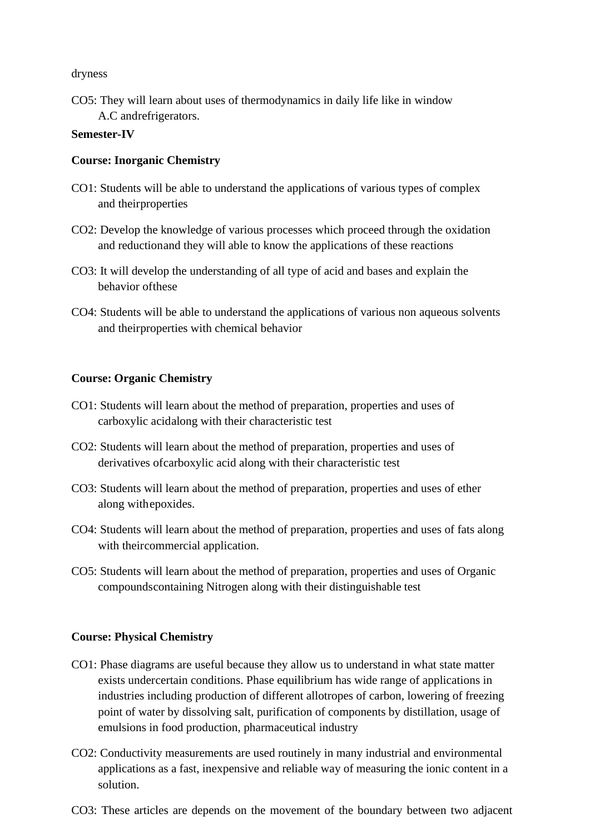dryness

CO5: They will learn about uses of thermodynamics in daily life like in window A.C andrefrigerators.

# **Semester-IV**

# **Course: Inorganic Chemistry**

- CO1: Students will be able to understand the applications of various types of complex and theirproperties
- CO2: Develop the knowledge of various processes which proceed through the oxidation and reductionand they will able to know the applications of these reactions
- CO3: It will develop the understanding of all type of acid and bases and explain the behavior ofthese
- CO4: Students will be able to understand the applications of various non aqueous solvents and theirproperties with chemical behavior

# **Course: Organic Chemistry**

- CO1: Students will learn about the method of preparation, properties and uses of carboxylic acidalong with their characteristic test
- CO2: Students will learn about the method of preparation, properties and uses of derivatives ofcarboxylic acid along with their characteristic test
- CO3: Students will learn about the method of preparation, properties and uses of ether along withepoxides.
- CO4: Students will learn about the method of preparation, properties and uses of fats along with theircommercial application.
- CO5: Students will learn about the method of preparation, properties and uses of Organic compoundscontaining Nitrogen along with their distinguishable test

#### **Course: Physical Chemistry**

- CO1: Phase diagrams are useful because they allow us to understand in what state matter exists undercertain conditions. Phase equilibrium has wide range of applications in industries including production of different allotropes of carbon, lowering of freezing point of water by dissolving salt, purification of components by distillation, usage of emulsions in food production, pharmaceutical industry
- CO2: Conductivity measurements are used routinely in many industrial and environmental applications as a fast, inexpensive and reliable way of measuring the ionic content in a solution.
- CO3: These articles are depends on the movement of the boundary between two adjacent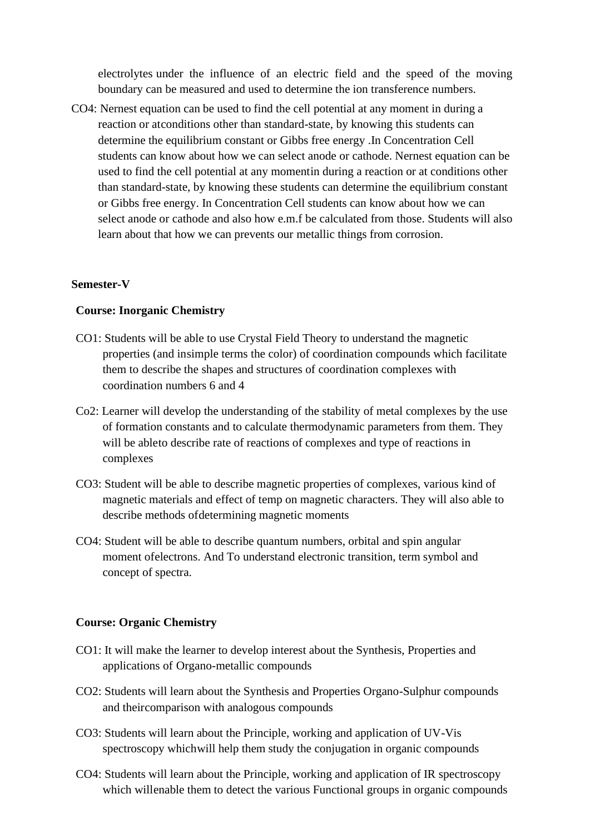electrolytes under the influence of an electric field and the speed of the moving boundary can be measured and used to determine the ion transference numbers.

CO4: Nernest equation can be used to find the cell potential at any moment in during a reaction or atconditions other than standard-state, by knowing this students can determine the equilibrium constant or Gibbs free energy .In Concentration Cell students can know about how we can select anode or cathode. Nernest equation can be used to find the cell potential at any momentin during a reaction or at conditions other than standard-state, by knowing these students can determine the equilibrium constant or Gibbs free energy. In Concentration Cell students can know about how we can select anode or cathode and also how e.m.f be calculated from those. Students will also learn about that how we can prevents our metallic things from corrosion.

#### **Semester-V**

# **Course: Inorganic Chemistry**

- CO1: Students will be able to use Crystal Field Theory to understand the magnetic properties (and insimple terms the color) of coordination compounds which facilitate them to describe the shapes and structures of coordination complexes with coordination numbers 6 and 4
- Co2: Learner will develop the understanding of the stability of metal complexes by the use of formation constants and to calculate thermodynamic parameters from them. They will be ableto describe rate of reactions of complexes and type of reactions in complexes
- CO3: Student will be able to describe magnetic properties of complexes, various kind of magnetic materials and effect of temp on magnetic characters. They will also able to describe methods ofdetermining magnetic moments
- CO4: Student will be able to describe quantum numbers, orbital and spin angular moment ofelectrons. And To understand electronic transition, term symbol and concept of spectra.

#### **Course: Organic Chemistry**

- CO1: It will make the learner to develop interest about the Synthesis, Properties and applications of Organo-metallic compounds
- CO2: Students will learn about the Synthesis and Properties Organo-Sulphur compounds and theircomparison with analogous compounds
- CO3: Students will learn about the Principle, working and application of UV-Vis spectroscopy whichwill help them study the conjugation in organic compounds
- CO4: Students will learn about the Principle, working and application of IR spectroscopy which willenable them to detect the various Functional groups in organic compounds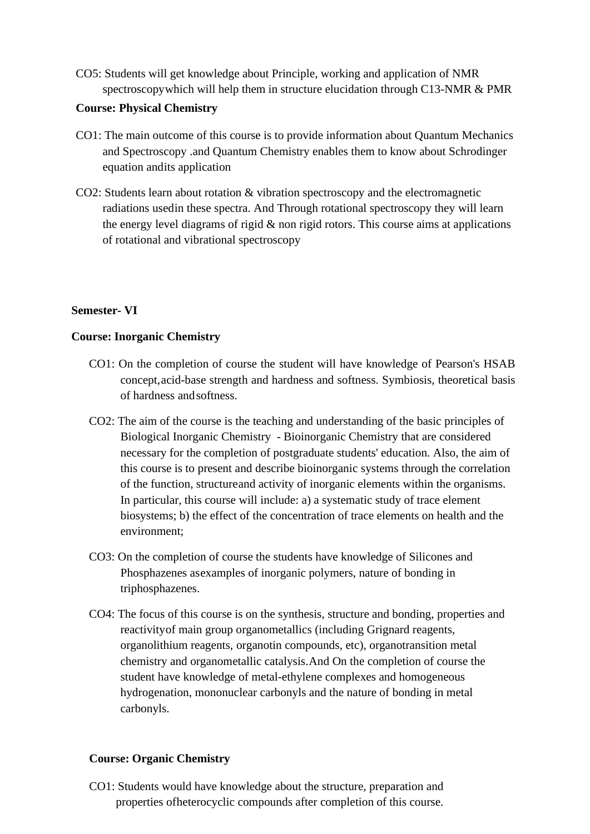CO5: Students will get knowledge about Principle, working and application of NMR spectroscopywhich will help them in structure elucidation through C13-NMR & PMR

# **Course: Physical Chemistry**

- CO1: The main outcome of this course is to provide information about Quantum Mechanics and Spectroscopy .and Quantum Chemistry enables them to know about Schrodinger equation andits application
- CO2: Students learn about rotation & vibration spectroscopy and the electromagnetic radiations usedin these spectra. And Through rotational spectroscopy they will learn the energy level diagrams of rigid  $\&$  non rigid rotors. This course aims at applications of rotational and vibrational spectroscopy

# **Semester- VI**

# **Course: Inorganic Chemistry**

- CO1: On the completion of course the student will have knowledge of Pearson's HSAB concept,acid-base strength and hardness and softness. Symbiosis, theoretical basis of hardness andsoftness.
- CO2: The aim of the course is the teaching and understanding of the basic principles of Biological Inorganic Chemistry - Bioinorganic Chemistry that are considered necessary for the completion of postgraduate students' education. Also, the aim of this course is to present and describe bioinorganic systems through the correlation of the function, structureand activity of inorganic elements within the organisms. In particular, this course will include: a) a systematic study of trace element biosystems; b) the effect of the concentration of trace elements on health and the environment;
- CO3: On the completion of course the students have knowledge of Silicones and Phosphazenes asexamples of inorganic polymers, nature of bonding in triphosphazenes.
- CO4: The focus of this course is on the synthesis, structure and bonding, properties and reactivityof main group organometallics (including Grignard reagents, organolithium reagents, organotin compounds, etc), organotransition metal chemistry and organometallic catalysis.And On the completion of course the student have knowledge of metal-ethylene complexes and homogeneous hydrogenation, mononuclear carbonyls and the nature of bonding in metal carbonyls.

#### **Course: Organic Chemistry**

CO1: Students would have knowledge about the structure, preparation and properties ofheterocyclic compounds after completion of this course.